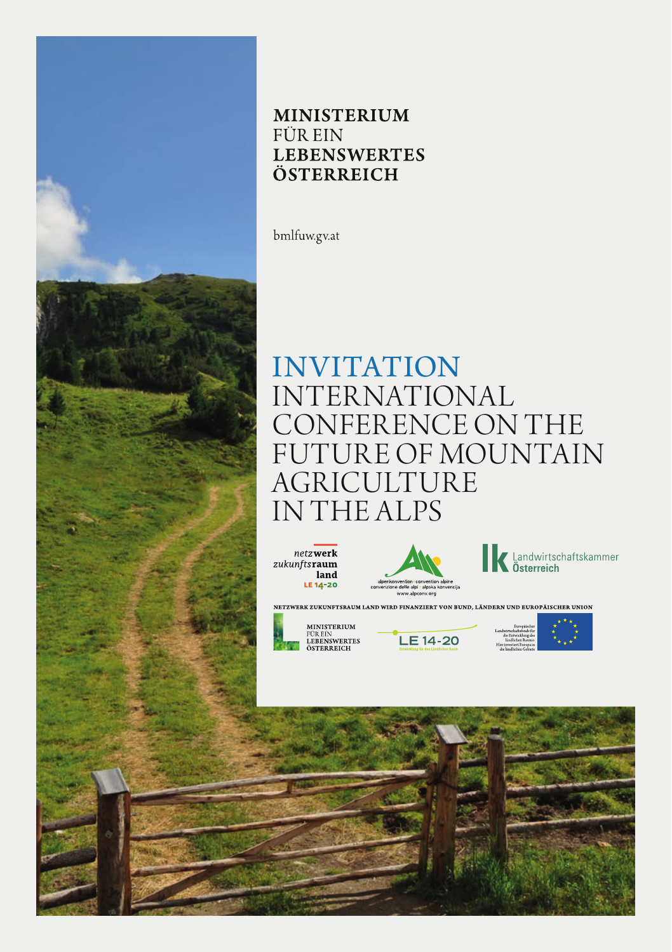

# **MINISTERIUM FÜR EIN LEBENSWERTES** ÖSTERREICH

bmlfuw.gv.at

# **INVITATION INTERNATIONAL** CONFERENCE ON THE **FUTURE OF MOUNTAIN** AGRICULTURE IN THE ALPS







NETZWERK ZUKUNFTSRAUM LAND WIRD FINANZIERT VON BUND, LÄNDERN UP D EUROPÄISCHER UNION



**MINISTERIUM** MINISTERIUM<br>FÜR EIN<br>LEBENSWERTES<br>ÖSTERREICH



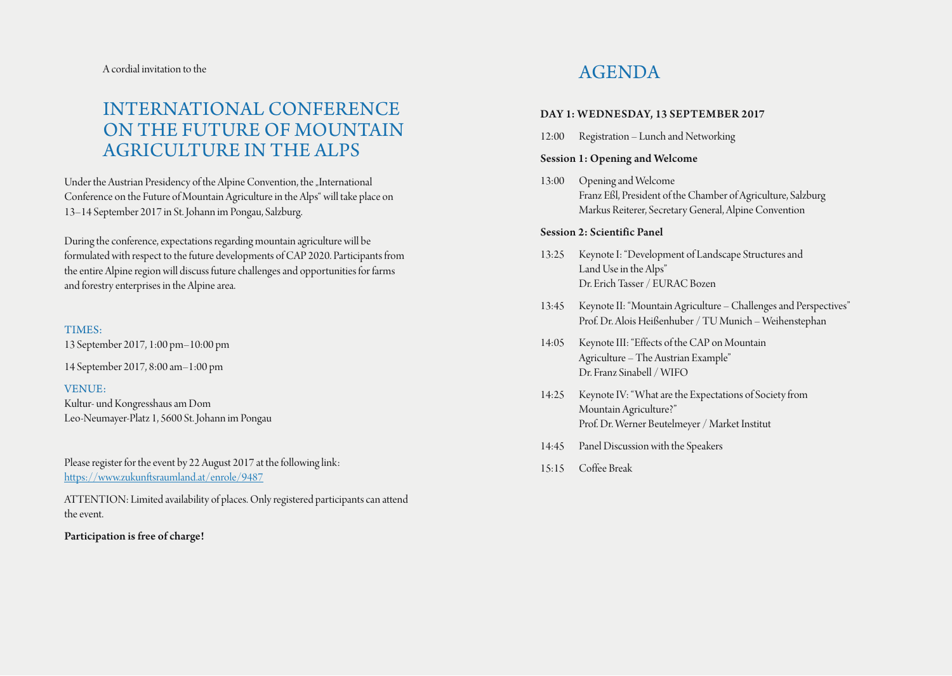A cordial invitation to the

# INTERNATIONAL CONFERENCE ON THE FUTURE OF MOUNTAIN AGRICULTURE IN THE ALPS

Under the Austrian Presidency of the Alpine Convention, the "International Conference on the Future of Mountain Agriculture in the Alps" will take place on 13–14 September 2017 in St. Johann im Pongau, Salzburg.

During the conference, expectations regarding mountain agriculture will be formulated with respect to the future developments of CAP 2020. Participants from the entire Alpine region will discuss future challenges and opportunities for farms and forestry enterprises in the Alpine area.

# TIMES:

13 September 2017, 1:00 pm–10:00 pm

14 September 2017, 8:00 am–1:00 pm

# VENUE:

Kultur- und Kongresshaus am Dom Leo-Neumayer-Platz 1, 5600 St. Johann im Pongau

Please register for the event by 22 August 2017 at the following link: https://www.zukunftsraumland.at/enrole/9487

ATTENTION: Limited availability of places. Only registered participants can attend the event.

# Participation is free of charge!

# AGENDA

#### DAY 1: WEDNESDAY, 13 SEPTEMBER 2017

12:00 Registration – Lunch and Networking

# Session 1: Opening and Welcome

13:00 Opening and Welcome Franz Eßl, President of the Chamber of Agriculture, Salzburg Markus Reiterer, Secretary General, Alpine Convention

#### Session 2: Scientific Panel

- 13:25 Keynote I: "Development of Landscape Structures and Land Use in the Alps" Dr. Erich Tasser / EURAC Bozen
- 13:45 Keynote II: "Mountain Agriculture Challenges and Perspectives" Prof. Dr. Alois Heißenhuber / TU Munich – Weihenstephan
- 14:05 Keynote III: "Effects of the CAP on Mountain Agriculture – The Austrian Example" Dr. Franz Sinabell / WIFO
- 14:25 Keynote IV: "What are the Expectations of Society from Mountain Agriculture?" Prof. Dr. Werner Beutelmeyer / Market Institut
- 14:45 Panel Discussion with the Speakers
- 15:15 Coffee Break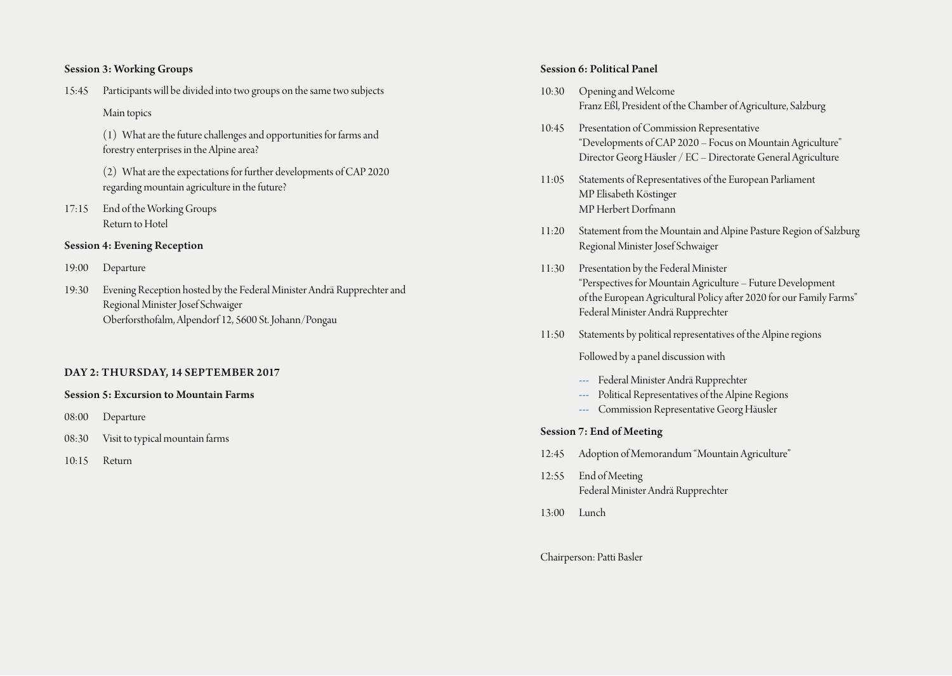# Session 3: Working Groups

15:45 Participants will be divided into two groups on the same two subjects

Main topics

(1) What are the future challenges and opportunities for farms and forestry enterprises in the Alpine area?

(2) What are the expectations for further developments of CAP 2020 regarding mountain agriculture in the future?

17:15 End of the Working Groups Return to Hotel

# Session 4: Evening Reception

- 19:00 Departure
- 19:30 Evening Reception hosted by the Federal Minister Andrä Rupprechter and Regional Minister Josef Schwaiger Oberforsthofalm, Alpendorf 12, 5600 St. Johann/Pongau

# DAY 2: THURSDAY, 14 SEPTEMBER 2017

#### Session 5: Excursion to Mountain Farms

- 08:00 Departure
- 08:30 Visit to typical mountain farms
- 10:15 Return

#### Session 6: Political Panel

- 10:30 Opening and Welcome Franz Eßl, President of the Chamber of Agriculture, Salzburg
- 10:45 Presentation of Commission Representative "Developments of CAP 2020 – Focus on Mountain Agriculture" Director Georg Häusler / EC – Directorate General Agriculture
- 11:05 Statements of Representatives of the European Parliament MP Elisabeth Köstinger MP Herbert Dorfmann
- 11:20 Statement from the Mountain and Alpine Pasture Region of Salzburg Regional Minister Josef Schwaiger
- 11:30 Presentation by the Federal Minister "Perspectives for Mountain Agriculture – Future Development of the European Agricultural Policy after 2020 for our Family Farms" Federal Minister Andrä Rupprechter
- 11:50 Statements by political representatives of the Alpine regions

Followed by a panel discussion with

- ‐‐-- Federal Minister Andrä Rupprechter
- ‐‐-- Political Representatives of the Alpine Regions
- ‐‐-- Commission Representative Georg Häusler

# Session 7: End of Meeting

- 12:45 Adoption of Memorandum "Mountain Agriculture"
- 12:55 End of Meeting Federal Minister Andrä Rupprechter
- 13:00 Lunch

Chairperson: Patti Basler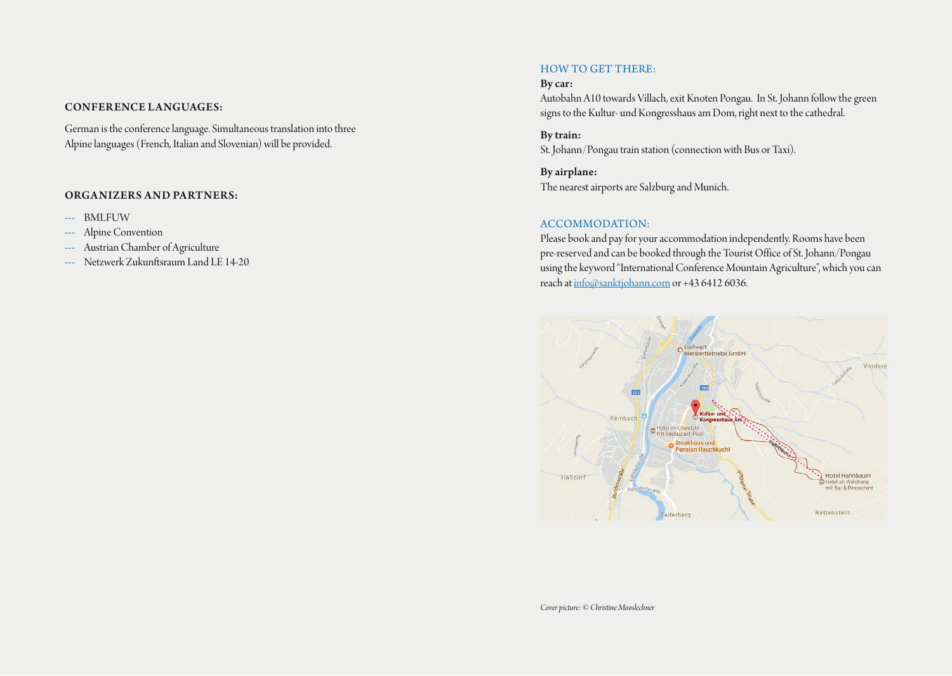#### CONFERENCE LANGUAGES:

German is the conference language. Simultaneous translation into three Alpine languages (French, Italian and Slovenian) will be provided.

#### ORGANIZERS AND PARTNERS:

- --- BMLFUW
- --- Alpine Convention
- --- Austrian Chamber of Agriculture
- ‐‐-- Netzwerk Zukunftsraum Land LE 14-20

#### HOW TO GET THERE:

# By car:

Autobahn A10 towards Villach, exit Knoten Pongau. In St. Johann follow the green signs to the Kultur- und Kongresshaus am Dom, right next to the cathedral.

By train: St. Johann/Pongau train station (connection with Bus or Taxi).

By airplane: The nearest airports are Salzburg and Munich.

#### ACCOMMODATION:

Please book and pay for your accommodation independently. Rooms have been pre-reserved and can be booked through the Tourist Office of St. Johann/Pongau using the keyword "International Conference Mountain Agriculture", which you can reach at info@sanktjohann.com or +43 6412 6036.